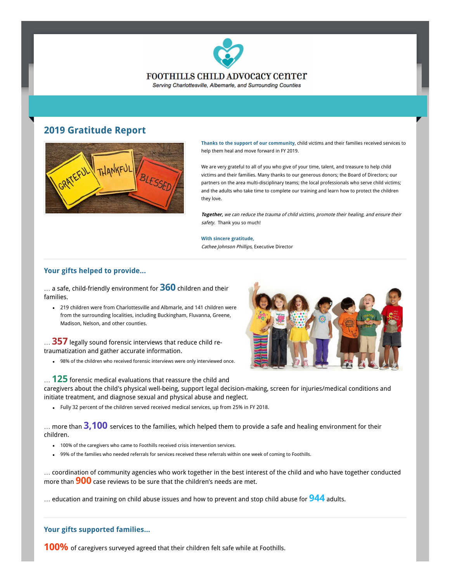

## **2019 Gratitude Report**



**Thanks to the support of our community**, child victims and their families received services to help them heal and move forward in FY 2019.

We are very grateful to all of you who give of your time, talent, and treasure to help child victims and their families. Many thanks to our generous donors; the Board of Directors; our partners on the area multi-disciplinary teams; the local professionals who serve child victims; and the adults who take time to complete our training and learn how to protect the children they love.

*safety.* Thank you so much! **Together,** we can reduce the trauma of child victims, promote their healing, and ensure their

**With sincere gratitude,**

Cathee Johnson Phillips, Executive Director

### **Your gifts helped to provide...**

… a safe, child-friendly environment for **360** children and their families.

219 children were from Charlottesville and Albmarle, and 141 children were from the surrounding localities, including Buckingham, Fluvanna, Greene, Madison, Nelson, and other counties.

… **357** legally sound forensic interviews that reduce child retraumatization and gather accurate information.

98% of the children who received forensic interviews were only interviewed once.



… **125** forensic medical evaluations that reassure the child and caregivers about the child's physical well-being, support legal decision-making, screen for injuries/medical conditions and initiate treatment, and diagnose sexual and physical abuse and neglect.

Fully 32 percent of the children served received medical services, up from 25% in FY 2018.

… more than **3,100** services to the families, which helped them to provide a safe and healing environment for their children.

- 100% of the caregivers who came to Foothills received crisis intervention services.
- 99% of the families who needed referrals for services received these referrals within one week of coming to Foothills.  $\bullet$

… coordination of community agencies who work together in the best interest of the child and who have together conducted more than **900** case reviews to be sure that the children's needs are met.

… education and training on child abuse issues and how to prevent and stop child abuse for **944** adults.

### **Your gifts supported families...**

**100%** of caregivers surveyed agreed that their children felt safe while at Foothills.